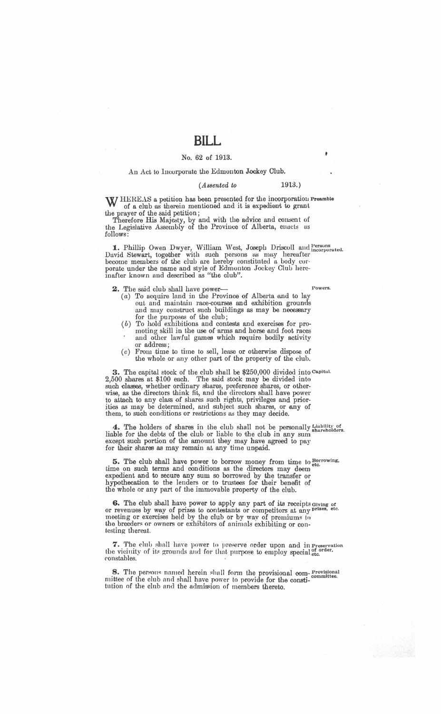# **BILL**

### No. 62 of 1913.

#### An Act to Incorporate the Edmonton Jockey Club.

#### *(Assented to* 1913.)

W HEREAS a petition has been presented for the incorporation Preamble of a club as therein mentioned and it is expedient to grant the prayer of the said petition;

Therefore His Majesty, by and with the advice and consent of the Legislative Assembly of the Province of Alberta, enacts as follows:

1. Phillip Owen Dwyer, William West, Joseph Driscoll and Persons incorporated. David Stewart, together with such persons as may hereafter become members of the club are hereby constituted a body corporate under the name and style of Edmonton Jockey Club hereinafter known nnd described *as* "the club".

2. The said club shall have power-

- $(a)$  To acquire land in the Province of Alberta and to lay out and maintain race-courses and exhibition grounds and may construct such buildings as may be necessary for the purposes of the club;
- (b) 'fo hold exhibitions and contests and exercises for promoting skill in the use of arms and horse and foot races and other lawful games which require bodily activity or address;
- $(c)$  From time to time to sell, lease or otherwise dispose of the whole or any other part of the property of the club.

3. The capital stock of the club shall be \$250,000 divided into Capital. 2,500 shares at \$100 each. The said stock may be divided into such classes, whether ordinary shares, preference shares, or otherwise, *as* the directors think fit, and the directors shall have power to attach to any class of shares such rights, privileges and priorities as may be determined, and subject such shares, or any of them, to such conditions or restrictions as they may decide.

4. The holders of shares in the club shall not be personally Liability of liable for the debts of the club or liable to the club in any sum sum are the club except such portion of the amount they may have agreed to pay for their shares as may remain at any time unpaid.

5. The club shall have power to borrow money from time to  $_{\text{etc.}}^{\text{Borrowing}}$ time on such terms and conditions as the directors may deem expedient and to secure any sum so borrowed by the transfer or hypothecation to the lenders or to trustees £or their benefit of the whole or any part of the immovable property of the club.

6. The club shall have power to apply any part of its receipts Giving of or revenues by way of prizes to contestants or competitors at any prizes, etc. meeting or exercises held by the club or by way of premiums to the breeders or owners or exhibitors of animals exhibiting or contesting thereat.

7. The club shall have power to preserve order upon and in Preservation the vicinity of its grounds and for that purpose to employ special <sup>of order,</sup> constables.

8. The persons named herein shall form the provisional com- Provisional mittee of the club and shall have power to provide for the constitution of the club and the admission of members thereto.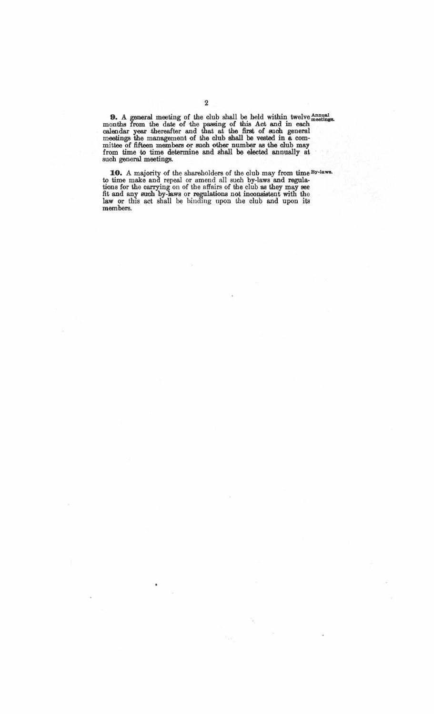9. A general meeting of the club shall be held within twelve *Annual* months from the date of the passing of this Act and in each calendar year thereafter and that at the first of such general meetings the management of the club shall be vested in a committee of fifteen members or such other number as the club may from time to time determine and shall be elected annually at such general meetings.

10. A majority of the shareholders of the club may from time By-laws. to time make and repeal or amend all such by-laws and regulations for the carrying on of the affairs of bhe club as they may see fit and any such by-laws or regulations not inconsistent with the law or this act shall be binding upon the club and upon its members.